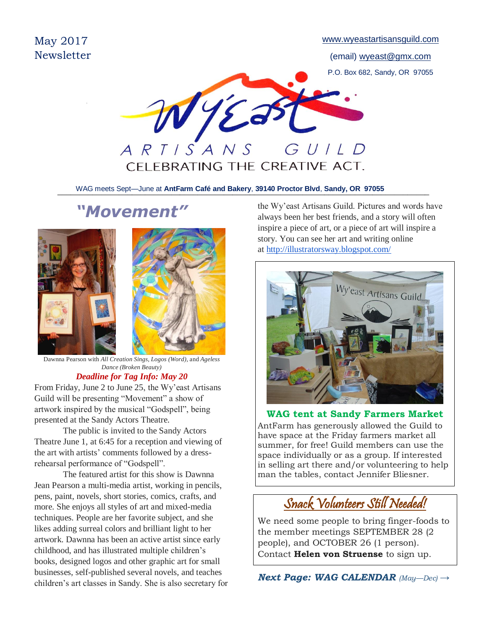May 2017 **Newsletter**  [www.wyeastartisansguild.com](http://www.wyeastartisansguild.com/)

(email) wyeast@gmx.com P.O. Box 682, Sandy, OR 97055



\_\_\_\_\_\_\_\_\_\_\_\_\_\_\_\_\_\_\_\_\_\_\_\_\_\_\_\_\_\_\_\_\_\_\_\_\_\_\_\_\_\_\_\_\_\_\_\_\_\_\_\_\_\_\_\_\_\_\_\_\_\_\_\_\_\_\_\_\_\_\_\_\_\_\_\_\_\_\_\_\_\_\_\_\_ WAG meets Sept—June at **AntFarm Café and Bakery**, **39140 Proctor Blvd**, **Sandy, OR 97055**

# *"Movement"*



*Dance (Broken Beauty)*

## *Deadline for Tag Info: May 20*

From Friday, June 2 to June 25, the Wy'east Artisans Guild will be presenting "Movement" a show of artwork inspired by the musical "Godspell", being presented at the Sandy Actors Theatre.

The public is invited to the Sandy Actors Theatre June 1, at 6:45 for a reception and viewing of the art with artists' comments followed by a dressrehearsal performance of "Godspell".

The featured artist for this show is Dawnna Jean Pearson a multi-media artist, working in pencils, pens, paint, novels, short stories, comics, crafts, and more. She enjoys all styles of art and mixed-media techniques. People are her favorite subject, and she likes adding surreal colors and brilliant light to her artwork. Dawnna has been an active artist since early childhood, and has illustrated multiple children's books, designed logos and other graphic art for small businesses, self-published several novels, and teaches children's art classes in Sandy. She is also secretary for the Wy'east Artisans Guild. Pictures and words have always been her best friends, and a story will often inspire a piece of art, or a piece of art will inspire a story. You can see her art and writing online at <http://illustratorsway.blogspot.com/>



**WAG tent at Sandy Farmers Market** AntFarm has generously allowed the Guild to have space at the Friday farmers market all summer, for free! Guild members can use the space individually or as a group. If interested in selling art there and/or volunteering to help man the tables, contact Jennifer Bliesner.

# Snack Volunteers Still Needed!

We need some people to bring finger-foods to the member meetings SEPTEMBER 28 (2 people), and OCTOBER 26 (1 person). Contact **Helen von Struense** to sign up.

٦ *Next Page: WAG CALENDAR (May—Dec) →*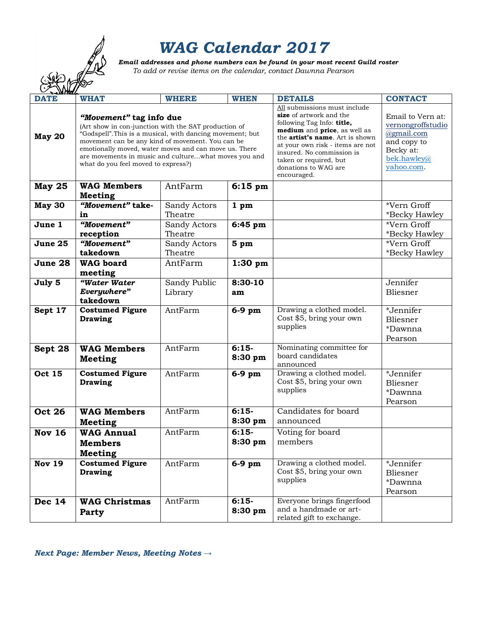# *WAG Calendar 2017*

*Email addresses and phone numbers can be found in your most recent Guild roster***<br>To add or revise items on the calendar, contact Dawnna Pearson<br>So** *To add or revise items on the calendar, contact Dawnna Pearson*

|               |                                                                                                                                                                                                                                                                                                                                                          |              |                    | Emaii daaresses and phone numbers can be jound in your most recent Guita roster<br>To add or revise items on the calendar, contact Dawnna Pearson                                                                                                                                                  |                                                                                                               |
|---------------|----------------------------------------------------------------------------------------------------------------------------------------------------------------------------------------------------------------------------------------------------------------------------------------------------------------------------------------------------------|--------------|--------------------|----------------------------------------------------------------------------------------------------------------------------------------------------------------------------------------------------------------------------------------------------------------------------------------------------|---------------------------------------------------------------------------------------------------------------|
|               |                                                                                                                                                                                                                                                                                                                                                          |              |                    |                                                                                                                                                                                                                                                                                                    |                                                                                                               |
|               |                                                                                                                                                                                                                                                                                                                                                          |              |                    |                                                                                                                                                                                                                                                                                                    |                                                                                                               |
| <b>DATE</b>   | <b>WHAT</b>                                                                                                                                                                                                                                                                                                                                              | <b>WHERE</b> | <b>WHEN</b>        | <b>DETAILS</b>                                                                                                                                                                                                                                                                                     | <b>CONTACT</b>                                                                                                |
| May 20        | "Movement" tag info due<br>(Art show in con-junction with the SAT production of<br>"Godspell". This is a musical, with dancing movement; but<br>movement can be any kind of movement. You can be<br>emotionally moved, water moves and can move us. There<br>are movements in music and culturewhat moves you and<br>what do you feel moved to express?) |              |                    | All submissions must include<br>size of artwork and the<br>following Tag Info: title,<br>medium and price, as well as<br>the <b>artist's name</b> . Art is shown<br>at your own risk - items are not<br>insured. No commission is<br>taken or required, but<br>donations to WAG are<br>encouraged. | Email to Vern at:<br>vernongroffstudio<br>@gmail.com<br>and copy to<br>Becky at:<br>bek.hawley@<br>vahoo.com. |
| <b>May 25</b> | <b>WAG Members</b><br><b>Meeting</b>                                                                                                                                                                                                                                                                                                                     | AntFarm      | $6:15$ pm          |                                                                                                                                                                                                                                                                                                    |                                                                                                               |
| May 30        | "Movement" take-                                                                                                                                                                                                                                                                                                                                         | Sandy Actors | 1 <sub>pm</sub>    |                                                                                                                                                                                                                                                                                                    | *Vern Groff                                                                                                   |
|               | in                                                                                                                                                                                                                                                                                                                                                       | Theatre      |                    |                                                                                                                                                                                                                                                                                                    | *Becky Hawley                                                                                                 |
| June 1        | "Movement"                                                                                                                                                                                                                                                                                                                                               | Sandy Actors | 6:45 pm            |                                                                                                                                                                                                                                                                                                    | *Vern Groff                                                                                                   |
|               | reception                                                                                                                                                                                                                                                                                                                                                | Theatre      |                    |                                                                                                                                                                                                                                                                                                    | *Becky Hawley                                                                                                 |
| June 25       | "Movement"                                                                                                                                                                                                                                                                                                                                               | Sandy Actors | 5 <sub>pm</sub>    |                                                                                                                                                                                                                                                                                                    | *Vern Groff                                                                                                   |
|               | takedown                                                                                                                                                                                                                                                                                                                                                 | Theatre      |                    |                                                                                                                                                                                                                                                                                                    | *Becky Hawley                                                                                                 |
| June 28       | <b>WAG</b> board<br>meeting                                                                                                                                                                                                                                                                                                                              | AntFarm      | $1:30$ pm          |                                                                                                                                                                                                                                                                                                    |                                                                                                               |
| July 5        | "Water Water                                                                                                                                                                                                                                                                                                                                             | Sandy Public | 8:30-10            |                                                                                                                                                                                                                                                                                                    | Jennifer                                                                                                      |
|               | Everywhere"                                                                                                                                                                                                                                                                                                                                              | Library      | am                 |                                                                                                                                                                                                                                                                                                    | Bliesner                                                                                                      |
|               | takedown                                                                                                                                                                                                                                                                                                                                                 |              |                    |                                                                                                                                                                                                                                                                                                    |                                                                                                               |
| Sept 17       | <b>Costumed Figure</b><br><b>Drawing</b>                                                                                                                                                                                                                                                                                                                 | AntFarm      | 6-9 pm             | Drawing a clothed model.<br>Cost \$5, bring your own<br>supplies                                                                                                                                                                                                                                   | *Jennifer<br>Bliesner<br>*Dawnna<br>Pearson                                                                   |
| Sept 28       | <b>WAG Members</b><br><b>Meeting</b>                                                                                                                                                                                                                                                                                                                     | AntFarm      | $6:15-$<br>8:30 pm | Nominating committee for<br>board candidates<br>announced                                                                                                                                                                                                                                          |                                                                                                               |
| <b>Oct 15</b> | <b>Costumed Figure</b><br><b>Drawing</b>                                                                                                                                                                                                                                                                                                                 | AntFarm      | $6-9$ pm           | Drawing a clothed model.<br>Cost \$5, bring your own<br>supplies                                                                                                                                                                                                                                   | *Jennifer<br>Bliesner<br>*Dawnna<br>Pearson                                                                   |
| <b>Oct 26</b> | <b>WAG Members</b><br>Meeting                                                                                                                                                                                                                                                                                                                            | AntFarm      | $6:15-$<br>8:30 pm | Candidates for board<br>announced                                                                                                                                                                                                                                                                  |                                                                                                               |
| <b>Nov 16</b> | <b>WAG Annual</b><br><b>Members</b><br><b>Meeting</b>                                                                                                                                                                                                                                                                                                    | AntFarm      | $6:15-$<br>8:30 pm | Voting for board<br>members                                                                                                                                                                                                                                                                        |                                                                                                               |
| <b>Nov 19</b> | <b>Costumed Figure</b><br><b>Drawing</b>                                                                                                                                                                                                                                                                                                                 | AntFarm      | $6-9$ pm           | Drawing a clothed model.<br>Cost \$5, bring your own<br>supplies                                                                                                                                                                                                                                   | *Jennifer<br>Bliesner<br>*Dawnna<br>Pearson                                                                   |
| <b>Dec 14</b> | <b>WAG Christmas</b><br>Party                                                                                                                                                                                                                                                                                                                            | AntFarm      | $6:15-$<br>8:30 pm | Everyone brings fingerfood<br>and a handmade or art-<br>related gift to exchange.                                                                                                                                                                                                                  |                                                                                                               |

*Next Page: Member News, Meeting Notes →*